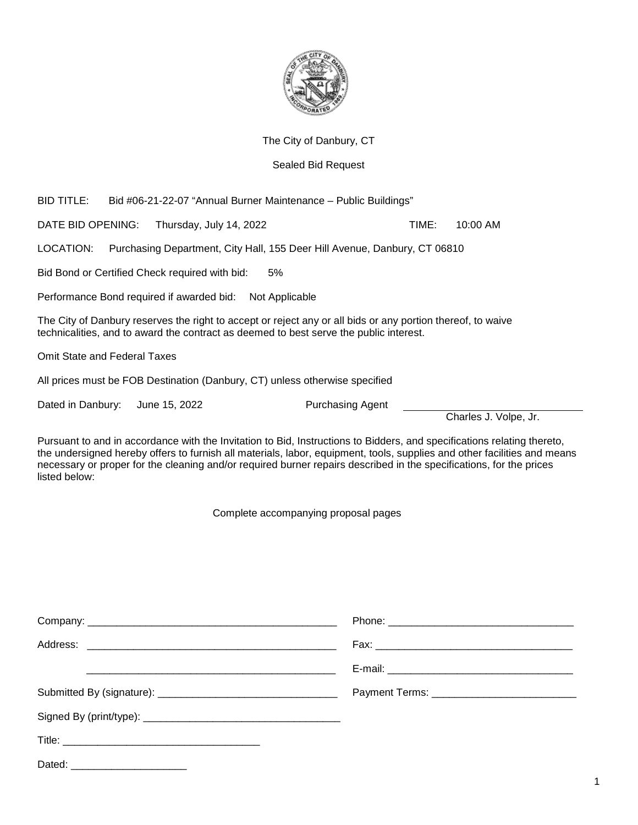

The City of Danbury, CT

## Sealed Bid Request

| <b>BID TITLE:</b><br>Bid #06-21-22-07 "Annual Burner Maintenance - Public Buildings"                                                                                                                                                                                                                                                                                                        |  |                                                                           |                         |       |                       |
|---------------------------------------------------------------------------------------------------------------------------------------------------------------------------------------------------------------------------------------------------------------------------------------------------------------------------------------------------------------------------------------------|--|---------------------------------------------------------------------------|-------------------------|-------|-----------------------|
| DATE BID OPENING:                                                                                                                                                                                                                                                                                                                                                                           |  | Thursday, July 14, 2022                                                   |                         | TIME: | 10:00 AM              |
| LOCATION:                                                                                                                                                                                                                                                                                                                                                                                   |  | Purchasing Department, City Hall, 155 Deer Hill Avenue, Danbury, CT 06810 |                         |       |                       |
|                                                                                                                                                                                                                                                                                                                                                                                             |  | Bid Bond or Certified Check required with bid:<br>5%                      |                         |       |                       |
|                                                                                                                                                                                                                                                                                                                                                                                             |  | Performance Bond required if awarded bid:<br>Not Applicable               |                         |       |                       |
| The City of Danbury reserves the right to accept or reject any or all bids or any portion thereof, to waive<br>technicalities, and to award the contract as deemed to best serve the public interest.                                                                                                                                                                                       |  |                                                                           |                         |       |                       |
| <b>Omit State and Federal Taxes</b>                                                                                                                                                                                                                                                                                                                                                         |  |                                                                           |                         |       |                       |
| All prices must be FOB Destination (Danbury, CT) unless otherwise specified                                                                                                                                                                                                                                                                                                                 |  |                                                                           |                         |       |                       |
| Dated in Danbury:                                                                                                                                                                                                                                                                                                                                                                           |  | June 15, 2022                                                             | <b>Purchasing Agent</b> |       |                       |
|                                                                                                                                                                                                                                                                                                                                                                                             |  |                                                                           |                         |       | Charles J. Volpe, Jr. |
| Pursuant to and in accordance with the Invitation to Bid, Instructions to Bidders, and specifications relating thereto,<br>the undersigned hereby offers to furnish all materials, labor, equipment, tools, supplies and other facilities and means<br>necessary or proper for the cleaning and/or required burner repairs described in the specifications, for the prices<br>listed below: |  |                                                                           |                         |       |                       |
| Complete accompanying proposal pages                                                                                                                                                                                                                                                                                                                                                        |  |                                                                           |                         |       |                       |

| Dated: __________________________ |  |
|-----------------------------------|--|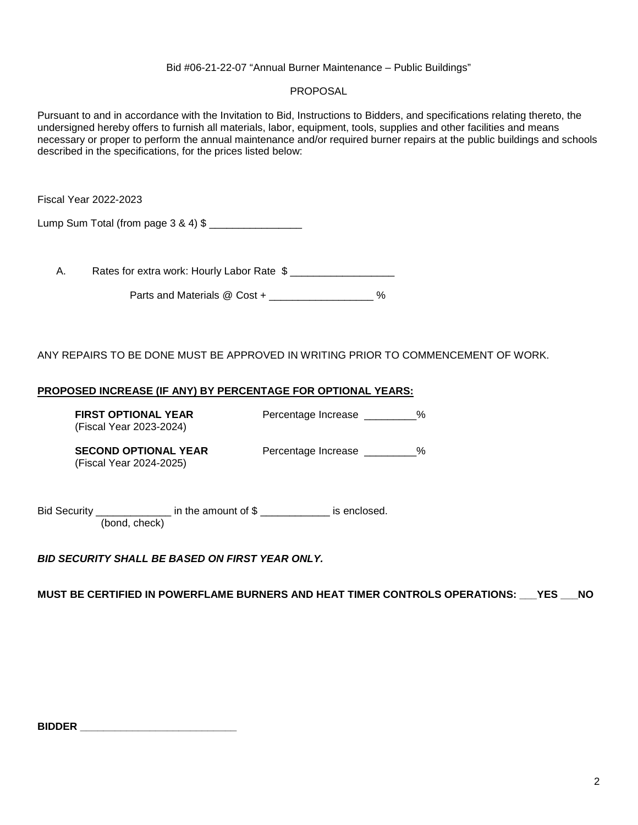## Bid #06-21-22-07 "Annual Burner Maintenance – Public Buildings"

## PROPOSAL

Pursuant to and in accordance with the Invitation to Bid, Instructions to Bidders, and specifications relating thereto, the undersigned hereby offers to furnish all materials, labor, equipment, tools, supplies and other facilities and means necessary or proper to perform the annual maintenance and/or required burner repairs at the public buildings and schools described in the specifications, for the prices listed below:

Fiscal Year 2022-2023

Lump Sum Total (from page 3 & 4) \$

A. Rates for extra work: Hourly Labor Rate  $\gamma$ 

Parts and Materials @ Cost + \_\_\_\_\_\_\_\_\_\_\_\_\_\_\_\_ %

ANY REPAIRS TO BE DONE MUST BE APPROVED IN WRITING PRIOR TO COMMENCEMENT OF WORK.

## **PROPOSED INCREASE (IF ANY) BY PERCENTAGE FOR OPTIONAL YEARS:**

**FIRST OPTIONAL YEAR** Percentage Increase \_\_\_\_\_\_\_\_\_% (Fiscal Year 2023-2024)

(Fiscal Year 2024-2025)

**SECOND OPTIONAL YEAR** Percentage Increase 2%

Bid Security \_\_\_\_\_\_\_\_\_\_\_\_\_\_\_\_ in the amount of \$ \_\_\_\_\_\_\_\_\_\_\_\_\_\_ is enclosed. (bond, check)

*BID SECURITY SHALL BE BASED ON FIRST YEAR ONLY.* 

**MUST BE CERTIFIED IN POWERFLAME BURNERS AND HEAT TIMER CONTROLS OPERATIONS: \_\_\_YES \_\_\_NO** 

| <b>BIDDER</b> |  |
|---------------|--|
|               |  |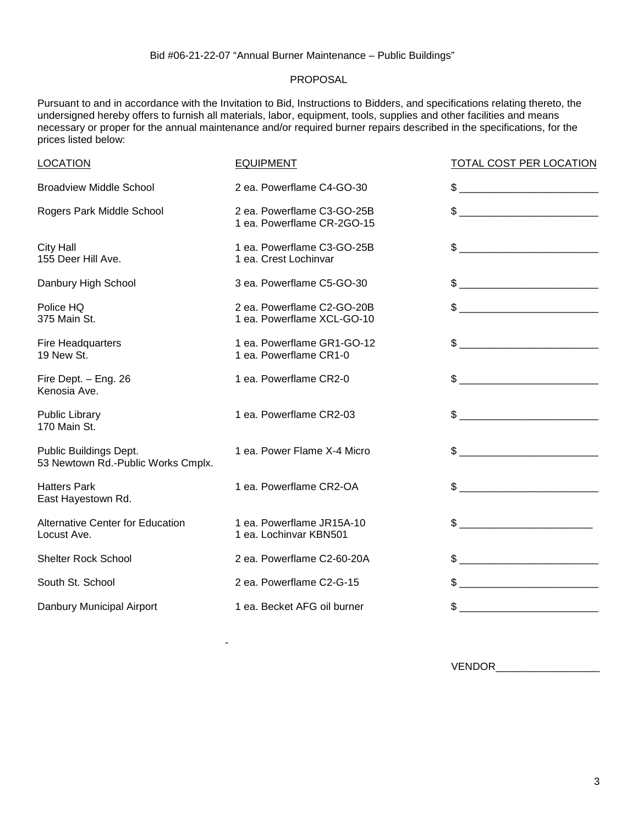## PROPOSAL

Pursuant to and in accordance with the Invitation to Bid, Instructions to Bidders, and specifications relating thereto, the undersigned hereby offers to furnish all materials, labor, equipment, tools, supplies and other facilities and means necessary or proper for the annual maintenance and/or required burner repairs described in the specifications, for the prices listed below:

| <b>LOCATION</b>                                              | <b>EQUIPMENT</b>                                         | <b>TOTAL COST PER LOCATION</b>                                                                                                                                                                                                                                                                                      |
|--------------------------------------------------------------|----------------------------------------------------------|---------------------------------------------------------------------------------------------------------------------------------------------------------------------------------------------------------------------------------------------------------------------------------------------------------------------|
| <b>Broadview Middle School</b>                               | 2 ea. Powerflame C4-GO-30                                |                                                                                                                                                                                                                                                                                                                     |
| Rogers Park Middle School                                    | 2 ea. Powerflame C3-GO-25B<br>1 ea. Powerflame CR-2GO-15 |                                                                                                                                                                                                                                                                                                                     |
| <b>City Hall</b><br>155 Deer Hill Ave.                       | 1 ea. Powerflame C3-GO-25B<br>1 ea. Crest Lochinvar      |                                                                                                                                                                                                                                                                                                                     |
| Danbury High School                                          | 3 ea. Powerflame C5-GO-30                                |                                                                                                                                                                                                                                                                                                                     |
| Police HQ<br>375 Main St.                                    | 2 ea. Powerflame C2-GO-20B<br>1 ea. Powerflame XCL-GO-10 |                                                                                                                                                                                                                                                                                                                     |
| Fire Headquarters<br>19 New St.                              | 1 ea. Powerflame GR1-GO-12<br>1 ea. Powerflame CR1-0     |                                                                                                                                                                                                                                                                                                                     |
| Fire Dept. - Eng. 26<br>Kenosia Ave.                         | 1 ea. Powerflame CR2-0                                   | $\frac{1}{2}$ $\frac{1}{2}$ $\frac{1}{2}$ $\frac{1}{2}$ $\frac{1}{2}$ $\frac{1}{2}$ $\frac{1}{2}$ $\frac{1}{2}$ $\frac{1}{2}$ $\frac{1}{2}$ $\frac{1}{2}$ $\frac{1}{2}$ $\frac{1}{2}$ $\frac{1}{2}$ $\frac{1}{2}$ $\frac{1}{2}$ $\frac{1}{2}$ $\frac{1}{2}$ $\frac{1}{2}$ $\frac{1}{2}$ $\frac{1}{2}$ $\frac{1}{2}$ |
| <b>Public Library</b><br>170 Main St.                        | 1 ea. Powerflame CR2-03                                  |                                                                                                                                                                                                                                                                                                                     |
| Public Buildings Dept.<br>53 Newtown Rd.-Public Works Cmplx. | 1 ea. Power Flame X-4 Micro                              | $\frac{1}{2}$                                                                                                                                                                                                                                                                                                       |
| <b>Hatters Park</b><br>East Hayestown Rd.                    | 1 ea. Powerflame CR2-OA                                  |                                                                                                                                                                                                                                                                                                                     |
| Alternative Center for Education<br>Locust Ave.              | 1 ea. Powerflame JR15A-10<br>1 ea. Lochinvar KBN501      | $\frac{1}{2}$                                                                                                                                                                                                                                                                                                       |
| <b>Shelter Rock School</b>                                   | 2 ea. Powerflame C2-60-20A                               | $\frac{1}{2}$                                                                                                                                                                                                                                                                                                       |
| South St. School                                             | 2 ea. Powerflame C2-G-15                                 | $\frac{1}{2}$                                                                                                                                                                                                                                                                                                       |
| Danbury Municipal Airport                                    | 1 ea. Becket AFG oil burner                              |                                                                                                                                                                                                                                                                                                                     |

-

VENDOR\_\_\_\_\_\_\_\_\_\_\_\_\_\_\_\_\_\_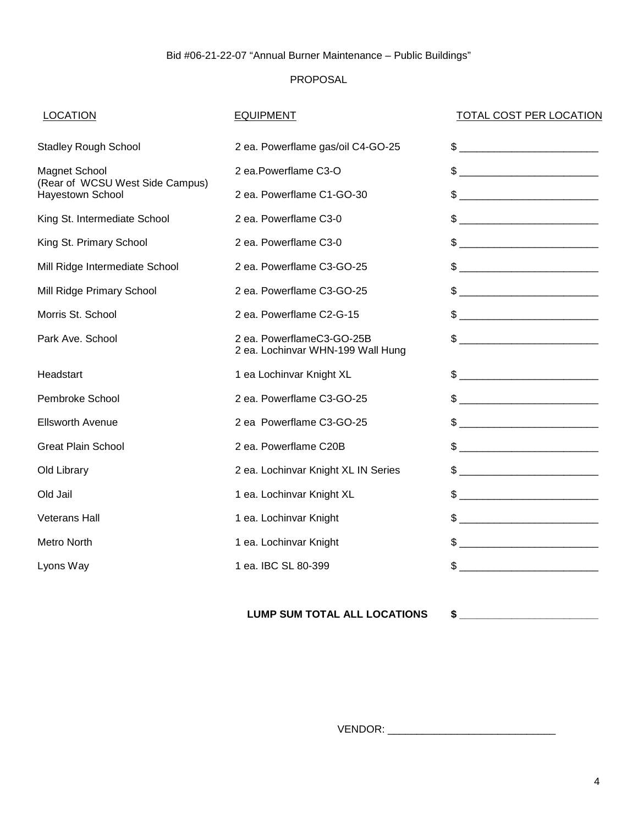## PROPOSAL

## LOCATION EQUIPMENT EQUIPMENT TOTAL COST PER LOCATION

| <b>Stadley Rough School</b>                             | 2 ea. Powerflame gas/oil C4-GO-25                              |                                                                                                                                 |
|---------------------------------------------------------|----------------------------------------------------------------|---------------------------------------------------------------------------------------------------------------------------------|
| <b>Magnet School</b><br>(Rear of WCSU West Side Campus) | 2 ea.Powerflame C3-O                                           |                                                                                                                                 |
| <b>Hayestown School</b>                                 | 2 ea. Powerflame C1-GO-30                                      |                                                                                                                                 |
| King St. Intermediate School                            | 2 ea. Powerflame C3-0                                          | $\frac{1}{2}$                                                                                                                   |
| King St. Primary School                                 | 2 ea. Powerflame C3-0                                          | $\frac{1}{2}$                                                                                                                   |
| Mill Ridge Intermediate School                          | 2 ea. Powerflame C3-GO-25                                      |                                                                                                                                 |
| Mill Ridge Primary School                               | 2 ea. Powerflame C3-GO-25                                      | $\qquad \qquad \, {\displaystyle \$~ \underline{\hspace{1.2cm}} \qquad \qquad ~~\qquad \qquad ~~\qquad \qquad ~~\qquad \, \, }$ |
| Morris St. School                                       | 2 ea. Powerflame C2-G-15                                       |                                                                                                                                 |
| Park Ave. School                                        | 2 ea. PowerflameC3-GO-25B<br>2 ea. Lochinvar WHN-199 Wall Hung | $\qquad \qquad \, {\displaystyle \$~ \underline{\hspace{1.2cm}} \qquad \qquad ~~\qquad \qquad ~~\qquad \qquad ~~\qquad \, \, }$ |
| Headstart                                               | 1 ea Lochinvar Knight XL                                       |                                                                                                                                 |
| Pembroke School                                         | 2 ea. Powerflame C3-GO-25                                      |                                                                                                                                 |
| <b>Ellsworth Avenue</b>                                 | 2 ea Powerflame C3-GO-25                                       |                                                                                                                                 |
| <b>Great Plain School</b>                               | 2 ea. Powerflame C20B                                          | $\frac{1}{2}$                                                                                                                   |
| Old Library                                             | 2 ea. Lochinvar Knight XL IN Series                            |                                                                                                                                 |
| Old Jail                                                | 1 ea. Lochinvar Knight XL                                      |                                                                                                                                 |
| <b>Veterans Hall</b>                                    | 1 ea. Lochinvar Knight                                         |                                                                                                                                 |
| Metro North                                             | 1 ea. Lochinvar Knight                                         |                                                                                                                                 |
| Lyons Way                                               | 1 ea. IBC SL 80-399                                            |                                                                                                                                 |

**LUMP SUM TOTAL ALL LOCATIONS \$ \_\_\_\_\_\_\_\_\_\_\_\_\_\_\_\_\_\_\_\_\_\_\_\_** 

VENDOR: \_\_\_\_\_\_\_\_\_\_\_\_\_\_\_\_\_\_\_\_\_\_\_\_\_\_\_\_\_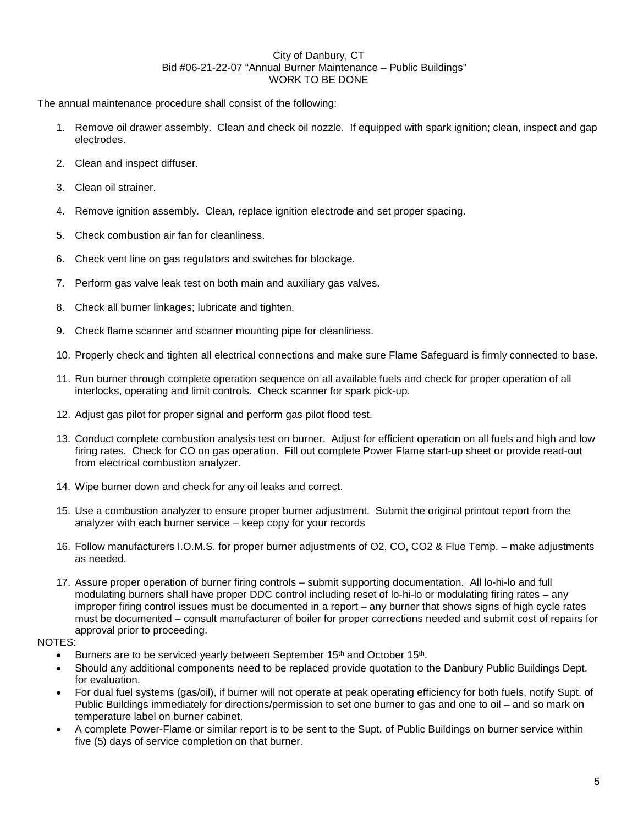#### City of Danbury, CT Bid #06-21-22-07 "Annual Burner Maintenance – Public Buildings" WORK TO BE DONE

The annual maintenance procedure shall consist of the following:

- 1. Remove oil drawer assembly. Clean and check oil nozzle. If equipped with spark ignition; clean, inspect and gap electrodes.
- 2. Clean and inspect diffuser.
- 3. Clean oil strainer.
- 4. Remove ignition assembly. Clean, replace ignition electrode and set proper spacing.
- 5. Check combustion air fan for cleanliness.
- 6. Check vent line on gas regulators and switches for blockage.
- 7. Perform gas valve leak test on both main and auxiliary gas valves.
- 8. Check all burner linkages; lubricate and tighten.
- 9. Check flame scanner and scanner mounting pipe for cleanliness.
- 10. Properly check and tighten all electrical connections and make sure Flame Safeguard is firmly connected to base.
- 11. Run burner through complete operation sequence on all available fuels and check for proper operation of all interlocks, operating and limit controls. Check scanner for spark pick-up.
- 12. Adjust gas pilot for proper signal and perform gas pilot flood test.
- 13. Conduct complete combustion analysis test on burner. Adjust for efficient operation on all fuels and high and low firing rates. Check for CO on gas operation. Fill out complete Power Flame start-up sheet or provide read-out from electrical combustion analyzer.
- 14. Wipe burner down and check for any oil leaks and correct.
- 15. Use a combustion analyzer to ensure proper burner adjustment. Submit the original printout report from the analyzer with each burner service – keep copy for your records
- 16. Follow manufacturers I.O.M.S. for proper burner adjustments of O2, CO, CO2 & Flue Temp. make adjustments as needed.
- 17. Assure proper operation of burner firing controls submit supporting documentation. All lo-hi-lo and full modulating burners shall have proper DDC control including reset of lo-hi-lo or modulating firing rates – any improper firing control issues must be documented in a report – any burner that shows signs of high cycle rates must be documented – consult manufacturer of boiler for proper corrections needed and submit cost of repairs for approval prior to proceeding.

## NOTES:

- Burners are to be serviced yearly between September 15<sup>th</sup> and October 15<sup>th</sup>.
- Should any additional components need to be replaced provide quotation to the Danbury Public Buildings Dept. for evaluation.
- For dual fuel systems (gas/oil), if burner will not operate at peak operating efficiency for both fuels, notify Supt. of Public Buildings immediately for directions/permission to set one burner to gas and one to oil – and so mark on temperature label on burner cabinet.
- A complete Power-Flame or similar report is to be sent to the Supt. of Public Buildings on burner service within five (5) days of service completion on that burner.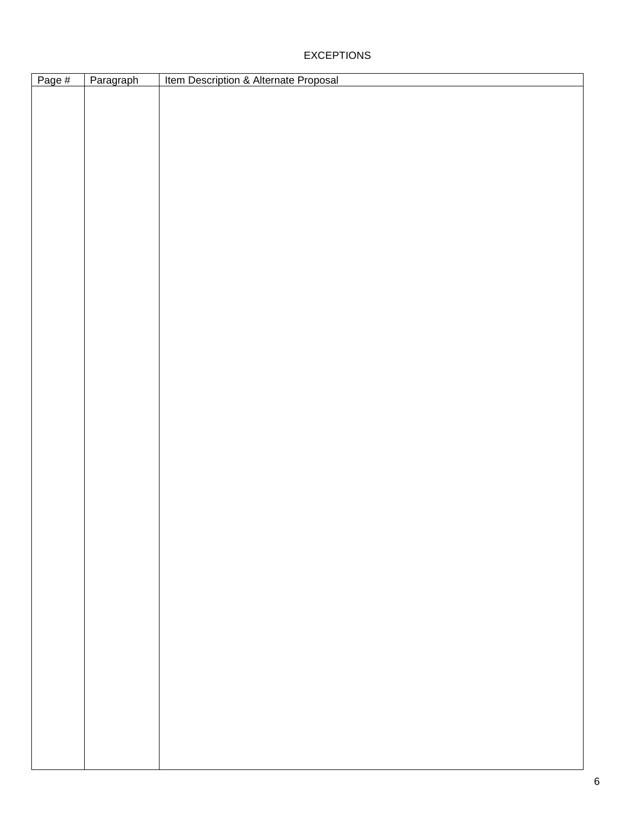## EXCEPTIONS

| Page # | Paragraph | Item Description & Alternate Proposal |
|--------|-----------|---------------------------------------|
|        |           |                                       |
|        |           |                                       |
|        |           |                                       |
|        |           |                                       |
|        |           |                                       |
|        |           |                                       |
|        |           |                                       |
|        |           |                                       |
|        |           |                                       |
|        |           |                                       |
|        |           |                                       |
|        |           |                                       |
|        |           |                                       |
|        |           |                                       |
|        |           |                                       |
|        |           |                                       |
|        |           |                                       |
|        |           |                                       |
|        |           |                                       |
|        |           |                                       |
|        |           |                                       |
|        |           |                                       |
|        |           |                                       |
|        |           |                                       |
|        |           |                                       |
|        |           |                                       |
|        |           |                                       |
|        |           |                                       |
|        |           |                                       |
|        |           |                                       |
|        |           |                                       |
|        |           |                                       |
|        |           |                                       |
|        |           |                                       |
|        |           |                                       |
|        |           |                                       |
|        |           |                                       |
|        |           |                                       |
|        |           |                                       |
|        |           |                                       |
|        |           |                                       |
|        |           |                                       |
|        |           |                                       |
|        |           |                                       |
|        |           |                                       |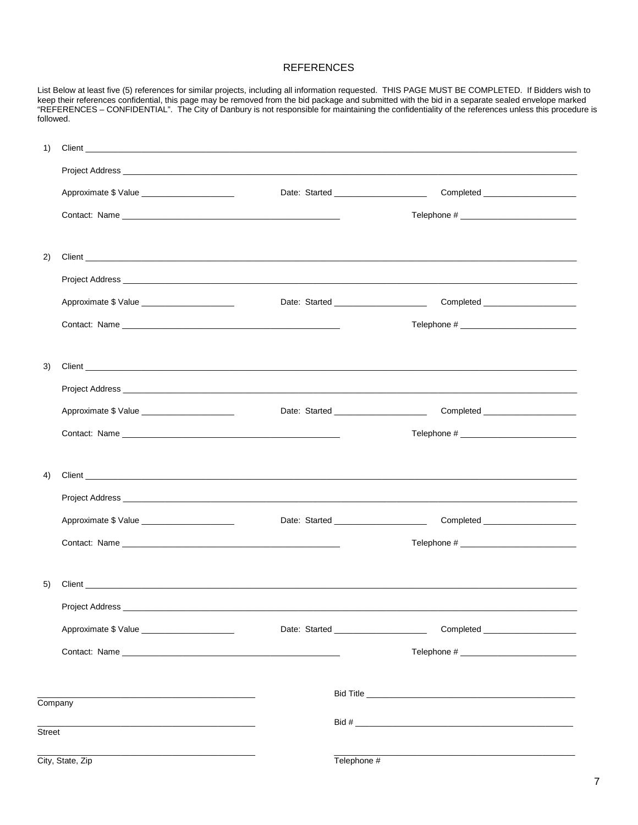### **REFERENCES**

List Below at least five (5) references for similar projects, including all information requested. THIS PAGE MUST BE COMPLETED. If Bidders wish to<br>keep their references confidential, this page may be removed from the bid p followed.

| 1)      |                                              |                                                                           |  |
|---------|----------------------------------------------|---------------------------------------------------------------------------|--|
|         |                                              |                                                                           |  |
|         | Approximate \$ Value ______________________  | Completed ______________________                                          |  |
|         |                                              |                                                                           |  |
|         |                                              |                                                                           |  |
| 2)      |                                              |                                                                           |  |
|         |                                              |                                                                           |  |
|         | Approximate \$ Value _______________________ | Date: Started _________________________                                   |  |
|         |                                              |                                                                           |  |
|         |                                              |                                                                           |  |
| 3)      |                                              |                                                                           |  |
|         |                                              |                                                                           |  |
|         | Approximate \$ Value ______________________  | Date: Started ______________________<br>Completed _______________________ |  |
|         |                                              |                                                                           |  |
|         |                                              |                                                                           |  |
| 4)      |                                              |                                                                           |  |
|         |                                              |                                                                           |  |
|         | Approximate \$ Value _______________________ |                                                                           |  |
|         |                                              |                                                                           |  |
|         |                                              |                                                                           |  |
| 5)      |                                              |                                                                           |  |
|         |                                              |                                                                           |  |
|         | Approximate \$ Value ______________________  | Date: Started _____________________                                       |  |
|         |                                              |                                                                           |  |
|         |                                              |                                                                           |  |
| Company |                                              |                                                                           |  |
| Street  |                                              |                                                                           |  |
|         |                                              |                                                                           |  |
|         | City, State, Zip                             | Telephone #                                                               |  |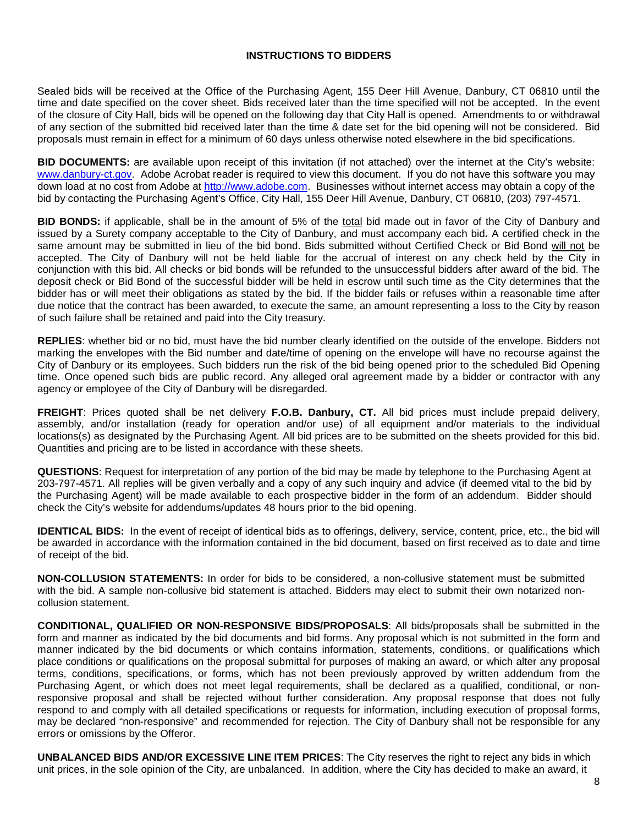### **INSTRUCTIONS TO BIDDERS**

Sealed bids will be received at the Office of the Purchasing Agent, 155 Deer Hill Avenue, Danbury, CT 06810 until the time and date specified on the cover sheet. Bids received later than the time specified will not be accepted. In the event of the closure of City Hall, bids will be opened on the following day that City Hall is opened. Amendments to or withdrawal of any section of the submitted bid received later than the time & date set for the bid opening will not be considered. Bid proposals must remain in effect for a minimum of 60 days unless otherwise noted elsewhere in the bid specifications.

**BID DOCUMENTS:** are available upon receipt of this invitation (if not attached) over the internet at the City's website: www.danbury-ct.gov. Adobe Acrobat reader is required to view this document. If you do not have this software you may down load at no cost from Adobe at http://www.adobe.com. Businesses without internet access may obtain a copy of the bid by contacting the Purchasing Agent's Office, City Hall, 155 Deer Hill Avenue, Danbury, CT 06810, (203) 797-4571.

**BID BONDS:** if applicable, shall be in the amount of 5% of the total bid made out in favor of the City of Danbury and issued by a Surety company acceptable to the City of Danbury, and must accompany each bid**.** A certified check in the same amount may be submitted in lieu of the bid bond. Bids submitted without Certified Check or Bid Bond will not be accepted. The City of Danbury will not be held liable for the accrual of interest on any check held by the City in conjunction with this bid. All checks or bid bonds will be refunded to the unsuccessful bidders after award of the bid. The deposit check or Bid Bond of the successful bidder will be held in escrow until such time as the City determines that the bidder has or will meet their obligations as stated by the bid. If the bidder fails or refuses within a reasonable time after due notice that the contract has been awarded, to execute the same, an amount representing a loss to the City by reason of such failure shall be retained and paid into the City treasury.

**REPLIES**: whether bid or no bid, must have the bid number clearly identified on the outside of the envelope. Bidders not marking the envelopes with the Bid number and date/time of opening on the envelope will have no recourse against the City of Danbury or its employees. Such bidders run the risk of the bid being opened prior to the scheduled Bid Opening time. Once opened such bids are public record. Any alleged oral agreement made by a bidder or contractor with any agency or employee of the City of Danbury will be disregarded.

**FREIGHT**: Prices quoted shall be net delivery **F.O.B. Danbury, CT.** All bid prices must include prepaid delivery, assembly, and/or installation (ready for operation and/or use) of all equipment and/or materials to the individual locations(s) as designated by the Purchasing Agent. All bid prices are to be submitted on the sheets provided for this bid. Quantities and pricing are to be listed in accordance with these sheets.

**QUESTIONS**: Request for interpretation of any portion of the bid may be made by telephone to the Purchasing Agent at 203-797-4571. All replies will be given verbally and a copy of any such inquiry and advice (if deemed vital to the bid by the Purchasing Agent) will be made available to each prospective bidder in the form of an addendum. Bidder should check the City's website for addendums/updates 48 hours prior to the bid opening.

**IDENTICAL BIDS:** In the event of receipt of identical bids as to offerings, delivery, service, content, price, etc., the bid will be awarded in accordance with the information contained in the bid document, based on first received as to date and time of receipt of the bid.

**NON-COLLUSION STATEMENTS:** In order for bids to be considered, a non-collusive statement must be submitted with the bid. A sample non-collusive bid statement is attached. Bidders may elect to submit their own notarized noncollusion statement.

**CONDITIONAL, QUALIFIED OR NON-RESPONSIVE BIDS/PROPOSALS**: All bids/proposals shall be submitted in the form and manner as indicated by the bid documents and bid forms. Any proposal which is not submitted in the form and manner indicated by the bid documents or which contains information, statements, conditions, or qualifications which place conditions or qualifications on the proposal submittal for purposes of making an award, or which alter any proposal terms, conditions, specifications, or forms, which has not been previously approved by written addendum from the Purchasing Agent, or which does not meet legal requirements, shall be declared as a qualified, conditional, or nonresponsive proposal and shall be rejected without further consideration. Any proposal response that does not fully respond to and comply with all detailed specifications or requests for information, including execution of proposal forms, may be declared "non-responsive" and recommended for rejection. The City of Danbury shall not be responsible for any errors or omissions by the Offeror.

**UNBALANCED BIDS AND/OR EXCESSIVE LINE ITEM PRICES**: The City reserves the right to reject any bids in which unit prices, in the sole opinion of the City, are unbalanced. In addition, where the City has decided to make an award, it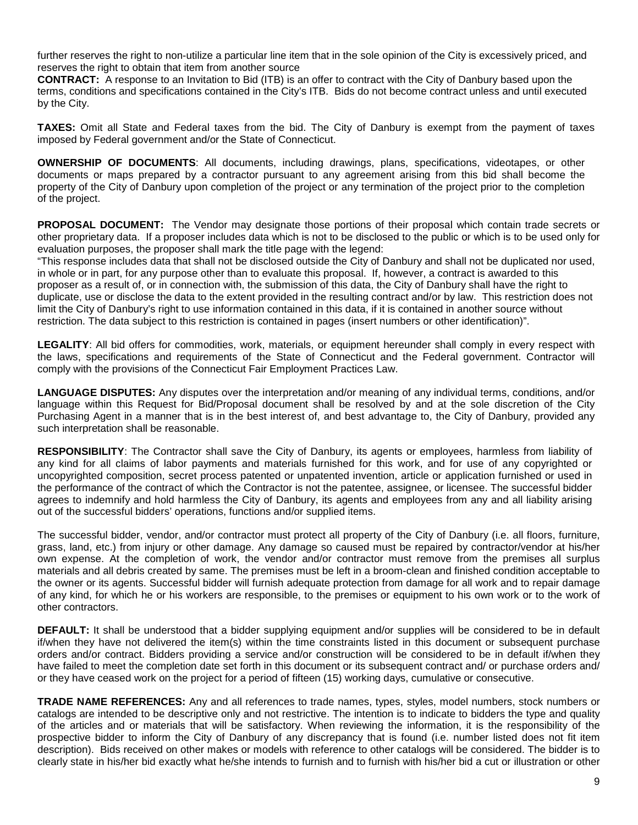further reserves the right to non-utilize a particular line item that in the sole opinion of the City is excessively priced, and reserves the right to obtain that item from another source

**CONTRACT:** A response to an Invitation to Bid (ITB) is an offer to contract with the City of Danbury based upon the terms, conditions and specifications contained in the City's ITB. Bids do not become contract unless and until executed by the City.

**TAXES:** Omit all State and Federal taxes from the bid. The City of Danbury is exempt from the payment of taxes imposed by Federal government and/or the State of Connecticut.

**OWNERSHIP OF DOCUMENTS**: All documents, including drawings, plans, specifications, videotapes, or other documents or maps prepared by a contractor pursuant to any agreement arising from this bid shall become the property of the City of Danbury upon completion of the project or any termination of the project prior to the completion of the project.

**PROPOSAL DOCUMENT:** The Vendor may designate those portions of their proposal which contain trade secrets or other proprietary data. If a proposer includes data which is not to be disclosed to the public or which is to be used only for evaluation purposes, the proposer shall mark the title page with the legend:

"This response includes data that shall not be disclosed outside the City of Danbury and shall not be duplicated nor used, in whole or in part, for any purpose other than to evaluate this proposal. If, however, a contract is awarded to this proposer as a result of, or in connection with, the submission of this data, the City of Danbury shall have the right to duplicate, use or disclose the data to the extent provided in the resulting contract and/or by law. This restriction does not limit the City of Danbury's right to use information contained in this data, if it is contained in another source without restriction. The data subject to this restriction is contained in pages (insert numbers or other identification)".

**LEGALITY**: All bid offers for commodities, work, materials, or equipment hereunder shall comply in every respect with the laws, specifications and requirements of the State of Connecticut and the Federal government. Contractor will comply with the provisions of the Connecticut Fair Employment Practices Law.

**LANGUAGE DISPUTES:** Any disputes over the interpretation and/or meaning of any individual terms, conditions, and/or language within this Request for Bid/Proposal document shall be resolved by and at the sole discretion of the City Purchasing Agent in a manner that is in the best interest of, and best advantage to, the City of Danbury, provided any such interpretation shall be reasonable.

**RESPONSIBILITY**: The Contractor shall save the City of Danbury, its agents or employees, harmless from liability of any kind for all claims of labor payments and materials furnished for this work, and for use of any copyrighted or uncopyrighted composition, secret process patented or unpatented invention, article or application furnished or used in the performance of the contract of which the Contractor is not the patentee, assignee, or licensee. The successful bidder agrees to indemnify and hold harmless the City of Danbury, its agents and employees from any and all liability arising out of the successful bidders' operations, functions and/or supplied items.

The successful bidder, vendor, and/or contractor must protect all property of the City of Danbury (i.e. all floors, furniture, grass, land, etc.) from injury or other damage. Any damage so caused must be repaired by contractor/vendor at his/her own expense. At the completion of work, the vendor and/or contractor must remove from the premises all surplus materials and all debris created by same. The premises must be left in a broom-clean and finished condition acceptable to the owner or its agents. Successful bidder will furnish adequate protection from damage for all work and to repair damage of any kind, for which he or his workers are responsible, to the premises or equipment to his own work or to the work of other contractors.

**DEFAULT:** It shall be understood that a bidder supplying equipment and/or supplies will be considered to be in default if/when they have not delivered the item(s) within the time constraints listed in this document or subsequent purchase orders and/or contract. Bidders providing a service and/or construction will be considered to be in default if/when they have failed to meet the completion date set forth in this document or its subsequent contract and/ or purchase orders and/ or they have ceased work on the project for a period of fifteen (15) working days, cumulative or consecutive.

**TRADE NAME REFERENCES:** Any and all references to trade names, types, styles, model numbers, stock numbers or catalogs are intended to be descriptive only and not restrictive. The intention is to indicate to bidders the type and quality of the articles and or materials that will be satisfactory. When reviewing the information, it is the responsibility of the prospective bidder to inform the City of Danbury of any discrepancy that is found (i.e. number listed does not fit item description). Bids received on other makes or models with reference to other catalogs will be considered. The bidder is to clearly state in his/her bid exactly what he/she intends to furnish and to furnish with his/her bid a cut or illustration or other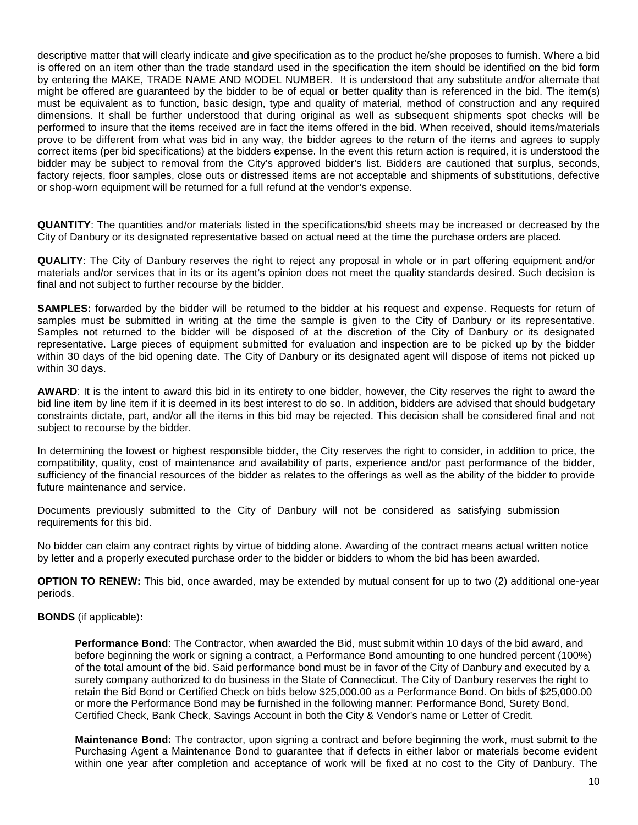descriptive matter that will clearly indicate and give specification as to the product he/she proposes to furnish. Where a bid is offered on an item other than the trade standard used in the specification the item should be identified on the bid form by entering the MAKE, TRADE NAME AND MODEL NUMBER. It is understood that any substitute and/or alternate that might be offered are guaranteed by the bidder to be of equal or better quality than is referenced in the bid. The item(s) must be equivalent as to function, basic design, type and quality of material, method of construction and any required dimensions. It shall be further understood that during original as well as subsequent shipments spot checks will be performed to insure that the items received are in fact the items offered in the bid. When received, should items/materials prove to be different from what was bid in any way, the bidder agrees to the return of the items and agrees to supply correct items (per bid specifications) at the bidders expense. In the event this return action is required, it is understood the bidder may be subject to removal from the City's approved bidder's list. Bidders are cautioned that surplus, seconds, factory rejects, floor samples, close outs or distressed items are not acceptable and shipments of substitutions, defective or shop-worn equipment will be returned for a full refund at the vendor's expense.

**QUANTITY**: The quantities and/or materials listed in the specifications/bid sheets may be increased or decreased by the City of Danbury or its designated representative based on actual need at the time the purchase orders are placed.

**QUALITY**: The City of Danbury reserves the right to reject any proposal in whole or in part offering equipment and/or materials and/or services that in its or its agent's opinion does not meet the quality standards desired. Such decision is final and not subject to further recourse by the bidder.

**SAMPLES:** forwarded by the bidder will be returned to the bidder at his request and expense. Requests for return of samples must be submitted in writing at the time the sample is given to the City of Danbury or its representative. Samples not returned to the bidder will be disposed of at the discretion of the City of Danbury or its designated representative. Large pieces of equipment submitted for evaluation and inspection are to be picked up by the bidder within 30 days of the bid opening date. The City of Danbury or its designated agent will dispose of items not picked up within 30 days.

**AWARD**: It is the intent to award this bid in its entirety to one bidder, however, the City reserves the right to award the bid line item by line item if it is deemed in its best interest to do so. In addition, bidders are advised that should budgetary constraints dictate, part, and/or all the items in this bid may be rejected. This decision shall be considered final and not subject to recourse by the bidder.

In determining the lowest or highest responsible bidder, the City reserves the right to consider, in addition to price, the compatibility, quality, cost of maintenance and availability of parts, experience and/or past performance of the bidder, sufficiency of the financial resources of the bidder as relates to the offerings as well as the ability of the bidder to provide future maintenance and service.

Documents previously submitted to the City of Danbury will not be considered as satisfying submission requirements for this bid.

No bidder can claim any contract rights by virtue of bidding alone. Awarding of the contract means actual written notice by letter and a properly executed purchase order to the bidder or bidders to whom the bid has been awarded.

**OPTION TO RENEW:** This bid, once awarded, may be extended by mutual consent for up to two (2) additional one-year periods.

## **BONDS** (if applicable)**:**

**Performance Bond**: The Contractor, when awarded the Bid, must submit within 10 days of the bid award, and before beginning the work or signing a contract, a Performance Bond amounting to one hundred percent (100%) of the total amount of the bid. Said performance bond must be in favor of the City of Danbury and executed by a surety company authorized to do business in the State of Connecticut. The City of Danbury reserves the right to retain the Bid Bond or Certified Check on bids below \$25,000.00 as a Performance Bond. On bids of \$25,000.00 or more the Performance Bond may be furnished in the following manner: Performance Bond, Surety Bond, Certified Check, Bank Check, Savings Account in both the City & Vendor's name or Letter of Credit.

**Maintenance Bond:** The contractor, upon signing a contract and before beginning the work, must submit to the Purchasing Agent a Maintenance Bond to guarantee that if defects in either labor or materials become evident within one year after completion and acceptance of work will be fixed at no cost to the City of Danbury. The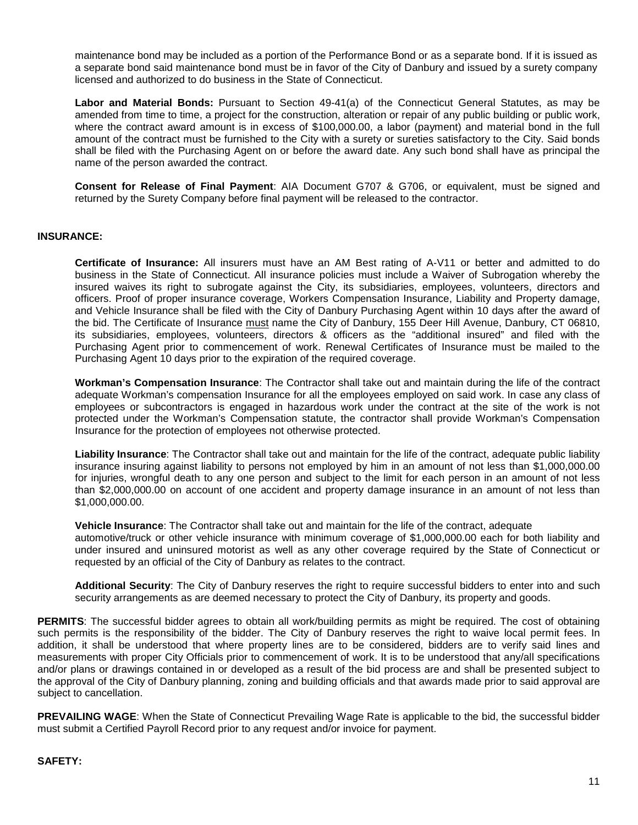maintenance bond may be included as a portion of the Performance Bond or as a separate bond. If it is issued as a separate bond said maintenance bond must be in favor of the City of Danbury and issued by a surety company licensed and authorized to do business in the State of Connecticut.

**Labor and Material Bonds:** Pursuant to Section 49-41(a) of the Connecticut General Statutes, as may be amended from time to time, a project for the construction, alteration or repair of any public building or public work, where the contract award amount is in excess of \$100,000.00, a labor (payment) and material bond in the full amount of the contract must be furnished to the City with a surety or sureties satisfactory to the City. Said bonds shall be filed with the Purchasing Agent on or before the award date. Any such bond shall have as principal the name of the person awarded the contract.

**Consent for Release of Final Payment**: AIA Document G707 & G706, or equivalent, must be signed and returned by the Surety Company before final payment will be released to the contractor.

### **INSURANCE:**

**Certificate of Insurance:** All insurers must have an AM Best rating of A-V11 or better and admitted to do business in the State of Connecticut. All insurance policies must include a Waiver of Subrogation whereby the insured waives its right to subrogate against the City, its subsidiaries, employees, volunteers, directors and officers. Proof of proper insurance coverage, Workers Compensation Insurance, Liability and Property damage, and Vehicle Insurance shall be filed with the City of Danbury Purchasing Agent within 10 days after the award of the bid. The Certificate of Insurance must name the City of Danbury, 155 Deer Hill Avenue, Danbury, CT 06810, its subsidiaries, employees, volunteers, directors & officers as the "additional insured" and filed with the Purchasing Agent prior to commencement of work. Renewal Certificates of Insurance must be mailed to the Purchasing Agent 10 days prior to the expiration of the required coverage.

**Workman's Compensation Insurance**: The Contractor shall take out and maintain during the life of the contract adequate Workman's compensation Insurance for all the employees employed on said work. In case any class of employees or subcontractors is engaged in hazardous work under the contract at the site of the work is not protected under the Workman's Compensation statute, the contractor shall provide Workman's Compensation Insurance for the protection of employees not otherwise protected.

**Liability Insurance**: The Contractor shall take out and maintain for the life of the contract, adequate public liability insurance insuring against liability to persons not employed by him in an amount of not less than \$1,000,000.00 for injuries, wrongful death to any one person and subject to the limit for each person in an amount of not less than \$2,000,000.00 on account of one accident and property damage insurance in an amount of not less than \$1,000,000.00.

**Vehicle Insurance**: The Contractor shall take out and maintain for the life of the contract, adequate automotive/truck or other vehicle insurance with minimum coverage of \$1,000,000.00 each for both liability and under insured and uninsured motorist as well as any other coverage required by the State of Connecticut or requested by an official of the City of Danbury as relates to the contract.

**Additional Security**: The City of Danbury reserves the right to require successful bidders to enter into and such security arrangements as are deemed necessary to protect the City of Danbury, its property and goods.

**PERMITS:** The successful bidder agrees to obtain all work/building permits as might be required. The cost of obtaining such permits is the responsibility of the bidder. The City of Danbury reserves the right to waive local permit fees. In addition, it shall be understood that where property lines are to be considered, bidders are to verify said lines and measurements with proper City Officials prior to commencement of work. It is to be understood that any/all specifications and/or plans or drawings contained in or developed as a result of the bid process are and shall be presented subject to the approval of the City of Danbury planning, zoning and building officials and that awards made prior to said approval are subject to cancellation.

**PREVAILING WAGE**: When the State of Connecticut Prevailing Wage Rate is applicable to the bid, the successful bidder must submit a Certified Payroll Record prior to any request and/or invoice for payment.

#### **SAFETY:**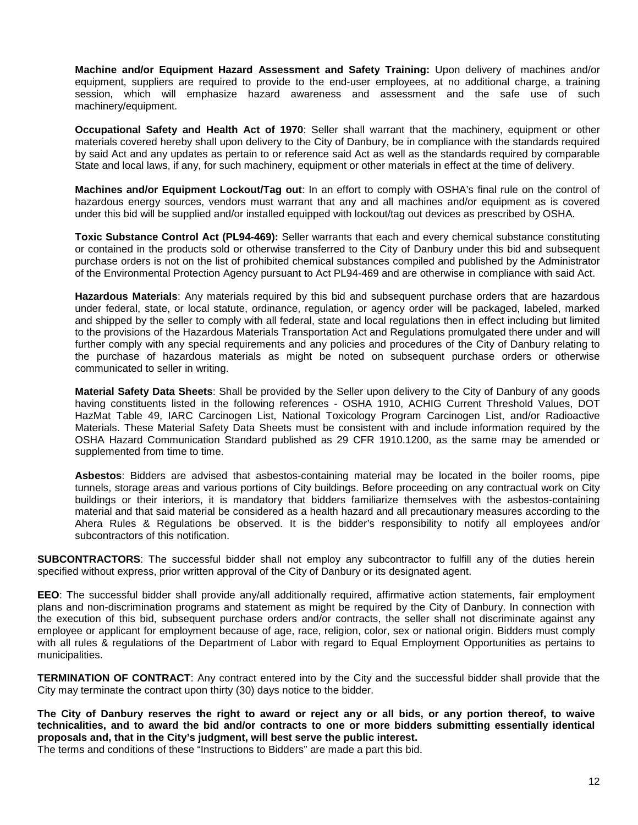**Machine and/or Equipment Hazard Assessment and Safety Training:** Upon delivery of machines and/or equipment, suppliers are required to provide to the end-user employees, at no additional charge, a training session, which will emphasize hazard awareness and assessment and the safe use of such machinery/equipment.

**Occupational Safety and Health Act of 1970**: Seller shall warrant that the machinery, equipment or other materials covered hereby shall upon delivery to the City of Danbury, be in compliance with the standards required by said Act and any updates as pertain to or reference said Act as well as the standards required by comparable State and local laws, if any, for such machinery, equipment or other materials in effect at the time of delivery.

**Machines and/or Equipment Lockout/Tag out**: In an effort to comply with OSHA's final rule on the control of hazardous energy sources, vendors must warrant that any and all machines and/or equipment as is covered under this bid will be supplied and/or installed equipped with lockout/tag out devices as prescribed by OSHA.

**Toxic Substance Control Act (PL94-469):** Seller warrants that each and every chemical substance constituting or contained in the products sold or otherwise transferred to the City of Danbury under this bid and subsequent purchase orders is not on the list of prohibited chemical substances compiled and published by the Administrator of the Environmental Protection Agency pursuant to Act PL94-469 and are otherwise in compliance with said Act.

**Hazardous Materials**: Any materials required by this bid and subsequent purchase orders that are hazardous under federal, state, or local statute, ordinance, regulation, or agency order will be packaged, labeled, marked and shipped by the seller to comply with all federal, state and local regulations then in effect including but limited to the provisions of the Hazardous Materials Transportation Act and Regulations promulgated there under and will further comply with any special requirements and any policies and procedures of the City of Danbury relating to the purchase of hazardous materials as might be noted on subsequent purchase orders or otherwise communicated to seller in writing.

**Material Safety Data Sheets**: Shall be provided by the Seller upon delivery to the City of Danbury of any goods having constituents listed in the following references - OSHA 1910, ACHIG Current Threshold Values, DOT HazMat Table 49, IARC Carcinogen List, National Toxicology Program Carcinogen List, and/or Radioactive Materials. These Material Safety Data Sheets must be consistent with and include information required by the OSHA Hazard Communication Standard published as 29 CFR 1910.1200, as the same may be amended or supplemented from time to time.

**Asbestos**: Bidders are advised that asbestos-containing material may be located in the boiler rooms, pipe tunnels, storage areas and various portions of City buildings. Before proceeding on any contractual work on City buildings or their interiors, it is mandatory that bidders familiarize themselves with the asbestos-containing material and that said material be considered as a health hazard and all precautionary measures according to the Ahera Rules & Regulations be observed. It is the bidder's responsibility to notify all employees and/or subcontractors of this notification.

**SUBCONTRACTORS**: The successful bidder shall not employ any subcontractor to fulfill any of the duties herein specified without express, prior written approval of the City of Danbury or its designated agent.

**EEO**: The successful bidder shall provide any/all additionally required, affirmative action statements, fair employment plans and non-discrimination programs and statement as might be required by the City of Danbury. In connection with the execution of this bid, subsequent purchase orders and/or contracts, the seller shall not discriminate against any employee or applicant for employment because of age, race, religion, color, sex or national origin. Bidders must comply with all rules & regulations of the Department of Labor with regard to Equal Employment Opportunities as pertains to municipalities.

**TERMINATION OF CONTRACT**: Any contract entered into by the City and the successful bidder shall provide that the City may terminate the contract upon thirty (30) days notice to the bidder.

**The City of Danbury reserves the right to award or reject any or all bids, or any portion thereof, to waive technicalities, and to award the bid and/or contracts to one or more bidders submitting essentially identical proposals and, that in the City's judgment, will best serve the public interest.** 

The terms and conditions of these "Instructions to Bidders" are made a part this bid.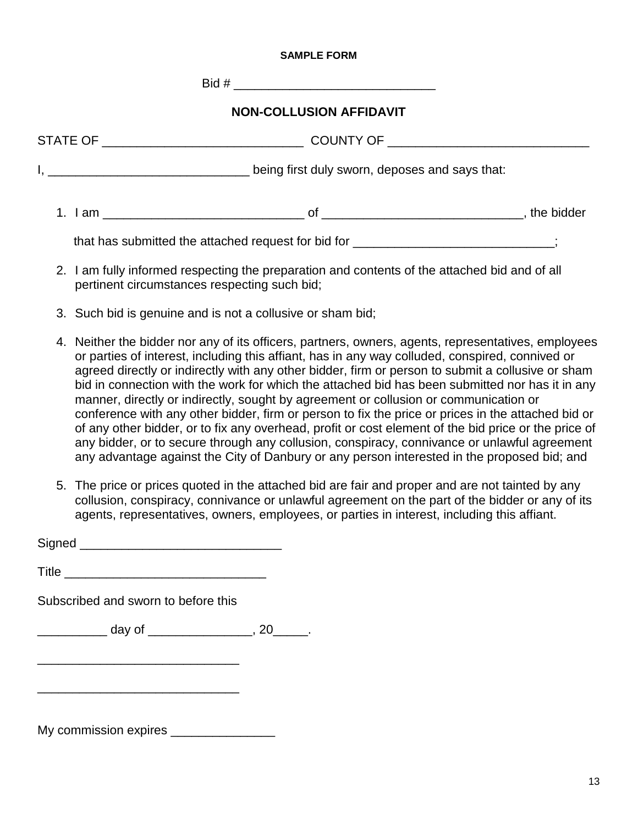## **SAMPLE FORM**

 $\text{Bid } \#$ 

## **NON-COLLUSION AFFIDAVIT**

| STATE OF _______________________ | COUNTY OF _____________________                |            |
|----------------------------------|------------------------------------------------|------------|
|                                  | being first duly sworn, deposes and says that: |            |
| 1. Iam                           | nt                                             | the bidder |

that has submitted the attached request for bid for \_\_\_\_\_\_\_\_\_\_\_\_\_\_\_\_\_\_\_\_\_\_\_\_\_;

- 2. I am fully informed respecting the preparation and contents of the attached bid and of all pertinent circumstances respecting such bid;
- 3. Such bid is genuine and is not a collusive or sham bid;
- 4. Neither the bidder nor any of its officers, partners, owners, agents, representatives, employees or parties of interest, including this affiant, has in any way colluded, conspired, connived or agreed directly or indirectly with any other bidder, firm or person to submit a collusive or sham bid in connection with the work for which the attached bid has been submitted nor has it in any manner, directly or indirectly, sought by agreement or collusion or communication or conference with any other bidder, firm or person to fix the price or prices in the attached bid or of any other bidder, or to fix any overhead, profit or cost element of the bid price or the price of any bidder, or to secure through any collusion, conspiracy, connivance or unlawful agreement any advantage against the City of Danbury or any person interested in the proposed bid; and
- 5. The price or prices quoted in the attached bid are fair and proper and are not tainted by any collusion, conspiracy, connivance or unlawful agreement on the part of the bidder or any of its agents, representatives, owners, employees, or parties in interest, including this affiant.

Signed **and all the set of the set of the set of the set of the set of the set of the set of the set of the set of the set of the set of the set of the set of the set of the set of the set of the set of the set of the set** 

Title \_\_\_\_\_\_\_\_\_\_\_\_\_\_\_\_\_\_\_\_\_\_\_\_\_\_\_\_\_

Subscribed and sworn to before this

\_\_\_\_\_\_\_\_\_\_\_\_\_\_\_\_\_\_\_\_\_\_\_\_\_\_\_\_\_

\_\_\_\_\_\_\_\_\_\_\_\_\_\_\_\_\_\_\_\_\_\_\_\_\_\_\_\_\_

\_\_\_\_\_\_\_\_\_\_ day of \_\_\_\_\_\_\_\_\_\_\_\_\_\_\_\_, 20\_\_\_\_\_\_.

My commission expires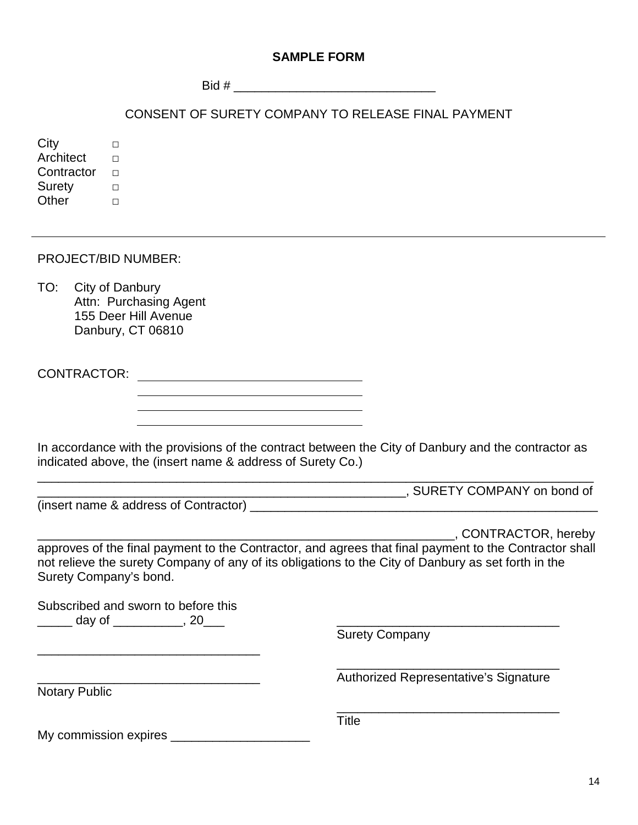## **SAMPLE FORM**

 $\text{Bid } \#$ 

CONSENT OF SURETY COMPANY TO RELEASE FINAL PAYMENT

City □ Architect  $□$ Contractor □ Suretv □ Other □

PROJECT/BID NUMBER:

TO: City of Danbury Attn: Purchasing Agent 155 Deer Hill Avenue Danbury, CT 06810

CONTRACTOR:

In accordance with the provisions of the contract between the City of Danbury and the contractor as indicated above, the (insert name & address of Surety Co.)

\_\_\_\_\_\_\_\_\_\_\_\_\_\_\_\_\_\_\_\_\_\_\_\_\_\_\_\_\_\_\_\_\_\_\_\_\_\_\_\_\_\_\_\_\_\_\_\_\_\_\_\_\_, SURETY COMPANY on bond of

(insert name & address of Contractor)

\_\_\_\_\_\_\_\_\_\_\_\_\_\_\_\_\_\_\_\_\_\_\_\_\_\_\_\_\_\_\_\_\_\_\_\_\_\_\_\_\_\_\_\_\_\_\_\_\_\_\_\_\_\_\_\_\_\_\_\_, CONTRACTOR, hereby

approves of the final payment to the Contractor, and agrees that final payment to the Contractor shall not relieve the surety Company of any of its obligations to the City of Danbury as set forth in the Surety Company's bond.

Subscribed and sworn to before this \_\_\_\_\_ day of \_\_\_\_\_\_\_\_\_\_, 20\_\_\_ \_\_\_\_\_\_\_\_\_\_\_\_\_\_\_\_\_\_\_\_\_\_\_\_\_\_\_\_\_\_\_\_

\_\_\_\_\_\_\_\_\_\_\_\_\_\_\_\_\_\_\_\_\_\_\_\_\_\_\_\_\_\_\_\_

Surety Company

Title

Notary Public

\_\_\_\_\_\_\_\_\_\_\_\_\_\_\_\_\_\_\_\_\_\_\_\_\_\_\_\_\_\_\_\_ Authorized Representative's Signature

\_\_\_\_\_\_\_\_\_\_\_\_\_\_\_\_\_\_\_\_\_\_\_\_\_\_\_\_\_\_\_\_

My commission expires